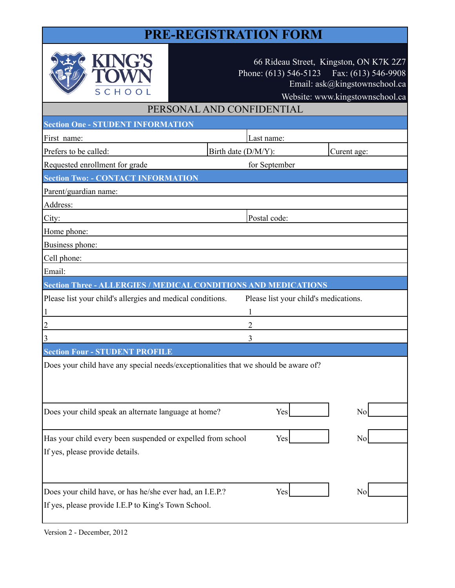## **PRE-REGISTRATION FORM**

| SCHO                                                        | 66 Rideau Street, Kingston, ON K7K 2Z7<br>Phone: (613) 546-5123 Fax: (613) 546-9908<br>Email: ask@kingstownschool.ca<br>Website: www.kingstownschool.ca |  |
|-------------------------------------------------------------|---------------------------------------------------------------------------------------------------------------------------------------------------------|--|
| PERSONAL AND CONFIDENTIAL                                   |                                                                                                                                                         |  |
| <b>Section One - STUDENT INFORMATION</b>                    |                                                                                                                                                         |  |
| First name:                                                 | Last name:                                                                                                                                              |  |
| Prefers to be called:                                       | Birth date (D/M/Y):<br>Curent age:                                                                                                                      |  |
| Requested enrollment for grade                              | for September                                                                                                                                           |  |
| <b>Section Two: - CONTACT INFORMATION</b>                   |                                                                                                                                                         |  |
| Parent/guardian name:                                       |                                                                                                                                                         |  |
| Address:                                                    |                                                                                                                                                         |  |
| City:                                                       | Postal code:                                                                                                                                            |  |
| Home phone:                                                 |                                                                                                                                                         |  |
| Business phone:                                             |                                                                                                                                                         |  |
| Cell phone:                                                 |                                                                                                                                                         |  |
| Email:                                                      |                                                                                                                                                         |  |
|                                                             | <b>Section Three - ALLERGIES / MEDICAL CONDITIONS AND MEDICATIONS</b>                                                                                   |  |
| Please list your child's allergies and medical conditions.  | Please list your child's medications.                                                                                                                   |  |
| 1                                                           | 1                                                                                                                                                       |  |
| $\overline{2}$                                              | $\overline{2}$                                                                                                                                          |  |
| 3                                                           | 3                                                                                                                                                       |  |
| <b>Section Four - STUDENT PROFILE</b>                       |                                                                                                                                                         |  |
|                                                             | Does your child have any special needs/exceptionalities that we should be aware of?                                                                     |  |
| Does your child speak an alternate language at home?        | Yes<br>No                                                                                                                                               |  |
| Has your child every been suspended or expelled from school | Yes<br>Nc                                                                                                                                               |  |
| If yes, please provide details.                             |                                                                                                                                                         |  |
| Does your child have, or has he/she ever had, an I.E.P.?    | Yes<br>No                                                                                                                                               |  |
| If yes, please provide I.E.P to King's Town School.         |                                                                                                                                                         |  |

Version 2 - December, 2012